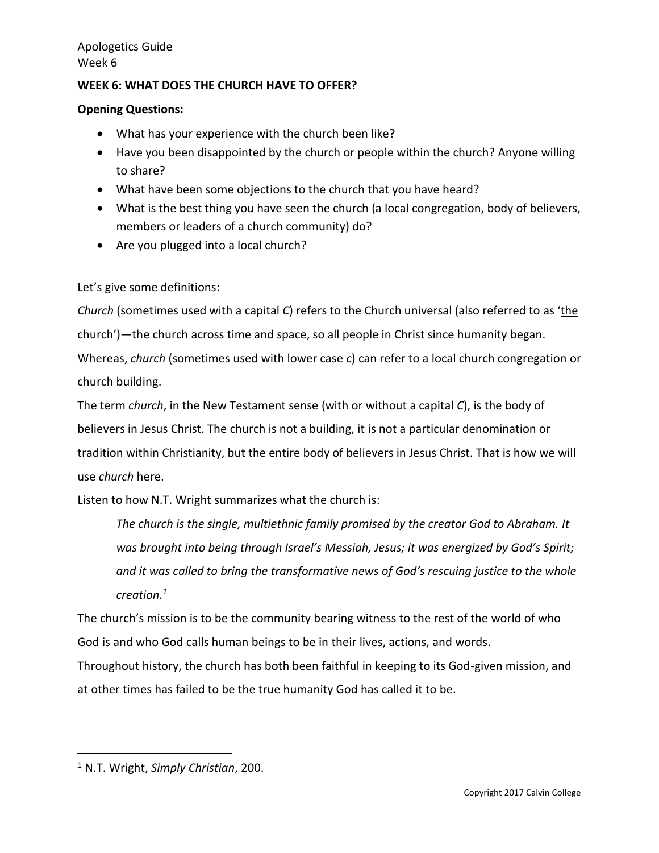## **WEEK 6: WHAT DOES THE CHURCH HAVE TO OFFER?**

## **Opening Questions:**

- What has your experience with the church been like?
- Have you been disappointed by the church or people within the church? Anyone willing to share?
- What have been some objections to the church that you have heard?
- What is the best thing you have seen the church (a local congregation, body of believers, members or leaders of a church community) do?
- Are you plugged into a local church?

Let's give some definitions:

*Church* (sometimes used with a capital *C*) refers to the Church universal (also referred to as 'the church')—the church across time and space, so all people in Christ since humanity began.

Whereas, *church* (sometimes used with lower case *c*) can refer to a local church congregation or church building.

The term *church*, in the New Testament sense (with or without a capital *C*), is the body of believers in Jesus Christ. The church is not a building, it is not a particular denomination or tradition within Christianity, but the entire body of believers in Jesus Christ. That is how we will use *church* here.

Listen to how N.T. Wright summarizes what the church is:

*The church is the single, multiethnic family promised by the creator God to Abraham. It was brought into being through Israel's Messiah, Jesus; it was energized by God's Spirit; and it was called to bring the transformative news of God's rescuing justice to the whole creation.<sup>1</sup>*

The church's mission is to be the community bearing witness to the rest of the world of who God is and who God calls human beings to be in their lives, actions, and words.

Throughout history, the church has both been faithful in keeping to its God-given mission, and at other times has failed to be the true humanity God has called it to be.

 $\overline{a}$ 

<sup>1</sup> N.T. Wright, *Simply Christian*, 200.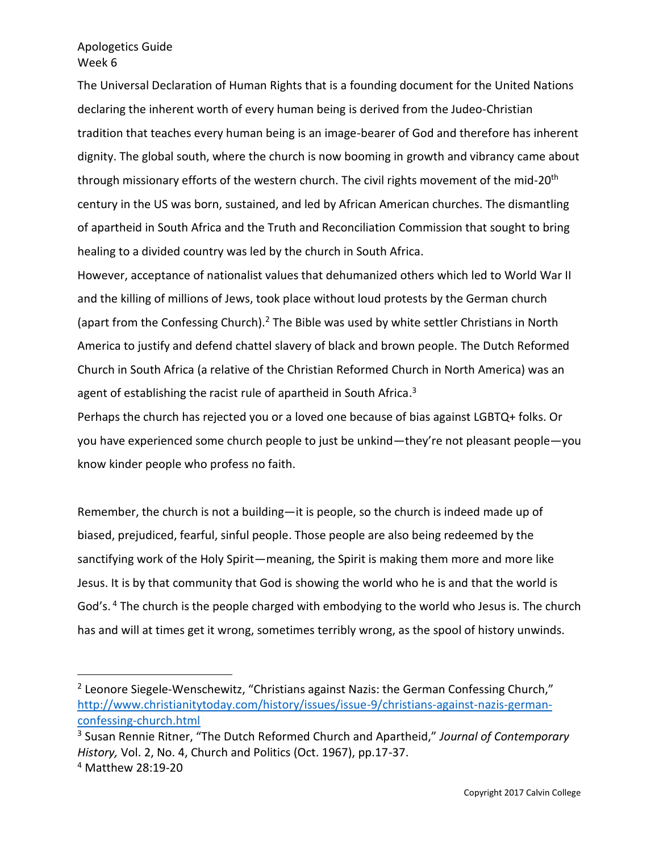Apologetics Guide Week 6

The Universal Declaration of Human Rights that is a founding document for the United Nations declaring the inherent worth of every human being is derived from the Judeo-Christian tradition that teaches every human being is an image-bearer of God and therefore has inherent dignity. The global south, where the church is now booming in growth and vibrancy came about through missionary efforts of the western church. The civil rights movement of the mid-20<sup>th</sup> century in the US was born, sustained, and led by African American churches. The dismantling of apartheid in South Africa and the Truth and Reconciliation Commission that sought to bring healing to a divided country was led by the church in South Africa.

However, acceptance of nationalist values that dehumanized others which led to World War II and the killing of millions of Jews, took place without loud protests by the German church (apart from the Confessing Church).<sup>2</sup> The Bible was used by white settler Christians in North America to justify and defend chattel slavery of black and brown people. The Dutch Reformed Church in South Africa (a relative of the Christian Reformed Church in North America) was an agent of establishing the racist rule of apartheid in South Africa.<sup>3</sup>

Perhaps the church has rejected you or a loved one because of bias against LGBTQ+ folks. Or you have experienced some church people to just be unkind—they're not pleasant people—you know kinder people who profess no faith.

Remember, the church is not a building—it is people, so the church is indeed made up of biased, prejudiced, fearful, sinful people. Those people are also being redeemed by the sanctifying work of the Holy Spirit—meaning, the Spirit is making them more and more like Jesus. It is by that community that God is showing the world who he is and that the world is God's.<sup>4</sup> The church is the people charged with embodying to the world who Jesus is. The church has and will at times get it wrong, sometimes terribly wrong, as the spool of history unwinds.

 $\overline{a}$ 

<sup>&</sup>lt;sup>2</sup> Leonore Siegele-Wenschewitz, "Christians against Nazis: the German Confessing Church," [http://www.christianitytoday.com/history/issues/issue-9/christians-against-nazis-german](http://www.christianitytoday.com/history/issues/issue-9/christians-against-nazis-german-confessing-church.html)[confessing-church.html](http://www.christianitytoday.com/history/issues/issue-9/christians-against-nazis-german-confessing-church.html)

<sup>3</sup> Susan Rennie Ritner, "The Dutch Reformed Church and Apartheid," *Journal of Contemporary History,* Vol. 2, No. 4, Church and Politics (Oct. 1967), pp.17-37.

<sup>4</sup> Matthew 28:19-20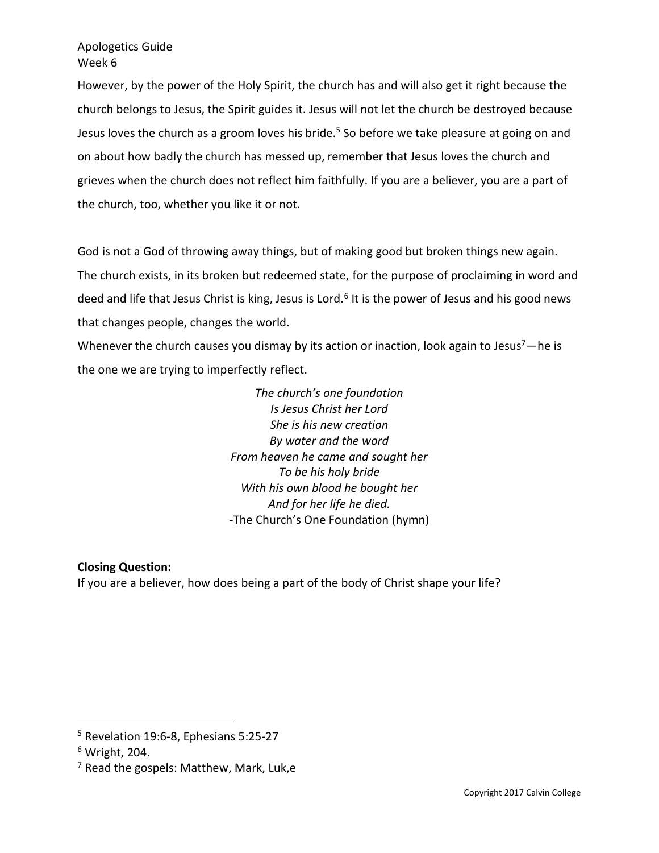Apologetics Guide Week 6

However, by the power of the Holy Spirit, the church has and will also get it right because the church belongs to Jesus, the Spirit guides it. Jesus will not let the church be destroyed because Jesus loves the church as a groom loves his bride.<sup>5</sup> So before we take pleasure at going on and on about how badly the church has messed up, remember that Jesus loves the church and grieves when the church does not reflect him faithfully. If you are a believer, you are a part of the church, too, whether you like it or not.

God is not a God of throwing away things, but of making good but broken things new again. The church exists, in its broken but redeemed state, for the purpose of proclaiming in word and deed and life that Jesus Christ is king, Jesus is Lord.<sup>6</sup> It is the power of Jesus and his good news that changes people, changes the world.

Whenever the church causes you dismay by its action or inaction, look again to Jesus<sup>7</sup>—he is the one we are trying to imperfectly reflect.

> *The church's one foundation Is Jesus Christ her Lord She is his new creation By water and the word From heaven he came and sought her To be his holy bride With his own blood he bought her And for her life he died.* -The Church's One Foundation (hymn)

**Closing Question:** If you are a believer, how does being a part of the body of Christ shape your life?

 $\overline{a}$ 

<sup>5</sup> Revelation 19:6-8, Ephesians 5:25-27

 $6$  Wright, 204.

 $<sup>7</sup>$  Read the gospels: Matthew, Mark, Luk,e</sup>